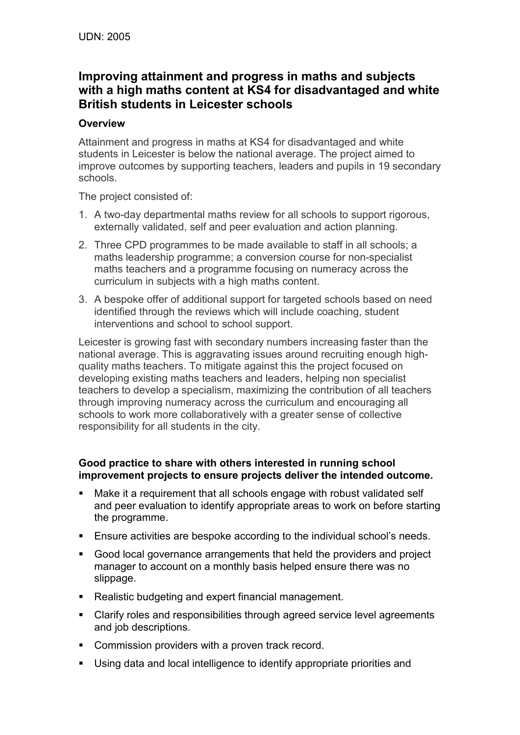# **Improving attainment and progress in maths and subjects with a high maths content at KS4 for disadvantaged and white British students in Leicester schools**

### **Overview**

Attainment and progress in maths at KS4 for disadvantaged and white students in Leicester is below the national average. The project aimed to improve outcomes by supporting teachers, leaders and pupils in 19 secondary schools.

The project consisted of:

- 1. A two-day departmental maths review for all schools to support rigorous, externally validated, self and peer evaluation and action planning.
- 2. Three CPD programmes to be made available to staff in all schools; a maths leadership programme; a conversion course for non-specialist maths teachers and a programme focusing on numeracy across the curriculum in subjects with a high maths content.
- 3. A bespoke offer of additional support for targeted schools based on need identified through the reviews which will include coaching, student interventions and school to school support.

Leicester is growing fast with secondary numbers increasing faster than the national average. This is aggravating issues around recruiting enough highquality maths teachers. To mitigate against this the project focused on developing existing maths teachers and leaders, helping non specialist teachers to develop a specialism, maximizing the contribution of all teachers through improving numeracy across the curriculum and encouraging all schools to work more collaboratively with a greater sense of collective responsibility for all students in the city.

### **Good practice to share with others interested in running school improvement projects to ensure projects deliver the intended outcome.**

- Make it a requirement that all schools engage with robust validated self and peer evaluation to identify appropriate areas to work on before starting the programme.
- Ensure activities are bespoke according to the individual school's needs.
- Good local governance arrangements that held the providers and project manager to account on a monthly basis helped ensure there was no slippage.
- Realistic budgeting and expert financial management.
- Clarify roles and responsibilities through agreed service level agreements and job descriptions.
- **Commission providers with a proven track record.**
- Using data and local intelligence to identify appropriate priorities and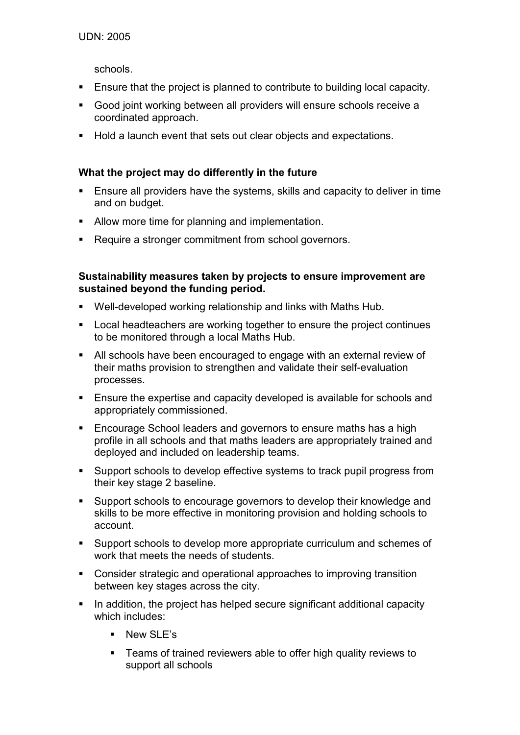schools.

- Ensure that the project is planned to contribute to building local capacity.
- Good joint working between all providers will ensure schools receive a coordinated approach.
- Hold a launch event that sets out clear objects and expectations.

## **What the project may do differently in the future**

- Ensure all providers have the systems, skills and capacity to deliver in time and on budget.
- Allow more time for planning and implementation.
- Require a stronger commitment from school governors.

### **Sustainability measures taken by projects to ensure improvement are sustained beyond the funding period.**

- Well-developed working relationship and links with Maths Hub.
- Local headteachers are working together to ensure the project continues to be monitored through a local Maths Hub.
- All schools have been encouraged to engage with an external review of their maths provision to strengthen and validate their self-evaluation processes.
- **Ensure the expertise and capacity developed is available for schools and** appropriately commissioned.
- **Encourage School leaders and governors to ensure maths has a high** profile in all schools and that maths leaders are appropriately trained and deployed and included on leadership teams.
- Support schools to develop effective systems to track pupil progress from their key stage 2 baseline.
- Support schools to encourage governors to develop their knowledge and skills to be more effective in monitoring provision and holding schools to account.
- Support schools to develop more appropriate curriculum and schemes of work that meets the needs of students.
- Consider strategic and operational approaches to improving transition between key stages across the city.
- In addition, the project has helped secure significant additional capacity which includes:
	- **New SLE's**
	- **Teams of trained reviewers able to offer high quality reviews to** support all schools